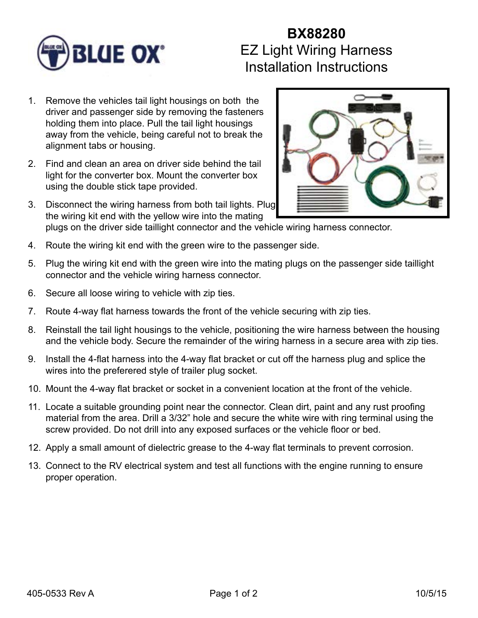

## **BX88280** EZ Light Wiring Harness Installation Instructions

- 1. Remove the vehicles tail light housings on both the driver and passenger side by removing the fasteners holding them into place. Pull the tail light housings away from the vehicle, being careful not to break the alignment tabs or housing.
- 2. Find and clean an area on driver side behind the tail light for the converter box. Mount the converter box using the double stick tape provided.
- 3. Disconnect the wiring harness from both tail lights. Plug the wiring kit end with the yellow wire into the mating



- plugs on the driver side taillight connector and the vehicle wiring harness connector.
- 4. Route the wiring kit end with the green wire to the passenger side.
- 5. Plug the wiring kit end with the green wire into the mating plugs on the passenger side taillight connector and the vehicle wiring harness connector.
- 6. Secure all loose wiring to vehicle with zip ties.
- 7. Route 4-way flat harness towards the front of the vehicle securing with zip ties.
- 8. Reinstall the tail light housings to the vehicle, positioning the wire harness between the housing and the vehicle body. Secure the remainder of the wiring harness in a secure area with zip ties.
- 9. Install the 4-flat harness into the 4-way flat bracket or cut off the harness plug and splice the wires into the preferered style of trailer plug socket.
- 10. Mount the 4-way flat bracket or socket in a convenient location at the front of the vehicle.
- 11. Locate a suitable grounding point near the connector. Clean dirt, paint and any rust proofing material from the area. Drill a 3/32" hole and secure the white wire with ring terminal using the screw provided. Do not drill into any exposed surfaces or the vehicle floor or bed.
- 12. Apply a small amount of dielectric grease to the 4-way flat terminals to prevent corrosion.
- 13. Connect to the RV electrical system and test all functions with the engine running to ensure proper operation.